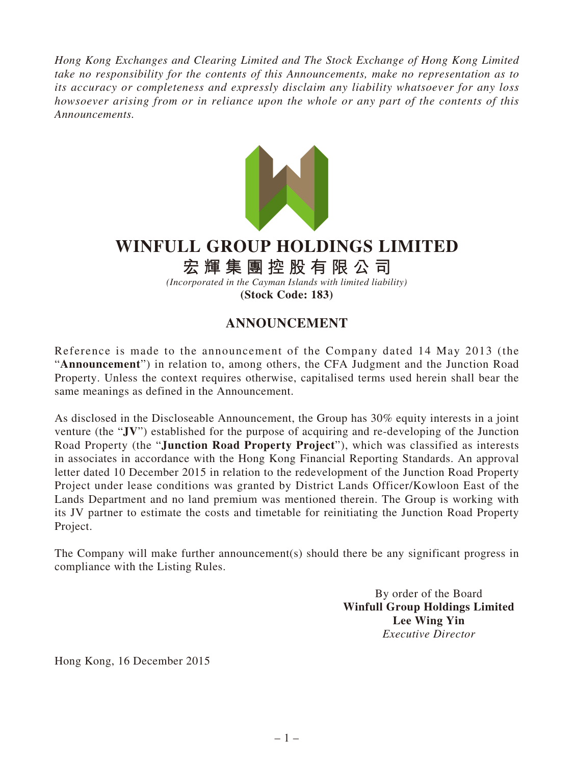*Hong Kong Exchanges and Clearing Limited and The Stock Exchange of Hong Kong Limited take no responsibility for the contents of this Announcements, make no representation as to its accuracy or completeness and expressly disclaim any liability whatsoever for any loss howsoever arising from or in reliance upon the whole or any part of the contents of this Announcements.*



## **WINFULL GROUP HOLDINGS LIMITED**

## **宏輝集團控股有限公司**

*(Incorporated in the Cayman Islands with limited liability)* **(Stock Code: 183)**

## **ANNOUNCEMENT**

Reference is made to the announcement of the Company dated 14 May 2013 (the "**Announcement**") in relation to, among others, the CFA Judgment and the Junction Road Property. Unless the context requires otherwise, capitalised terms used herein shall bear the same meanings as defined in the Announcement.

As disclosed in the Discloseable Announcement, the Group has 30% equity interests in a joint venture (the "**JV**") established for the purpose of acquiring and re-developing of the Junction Road Property (the "**Junction Road Property Project**"), which was classified as interests in associates in accordance with the Hong Kong Financial Reporting Standards. An approval letter dated 10 December 2015 in relation to the redevelopment of the Junction Road Property Project under lease conditions was granted by District Lands Officer/Kowloon East of the Lands Department and no land premium was mentioned therein. The Group is working with its JV partner to estimate the costs and timetable for reinitiating the Junction Road Property Project.

The Company will make further announcement(s) should there be any significant progress in compliance with the Listing Rules.

> By order of the Board **Winfull Group Holdings Limited Lee Wing Yin** *Executive Director*

Hong Kong, 16 December 2015